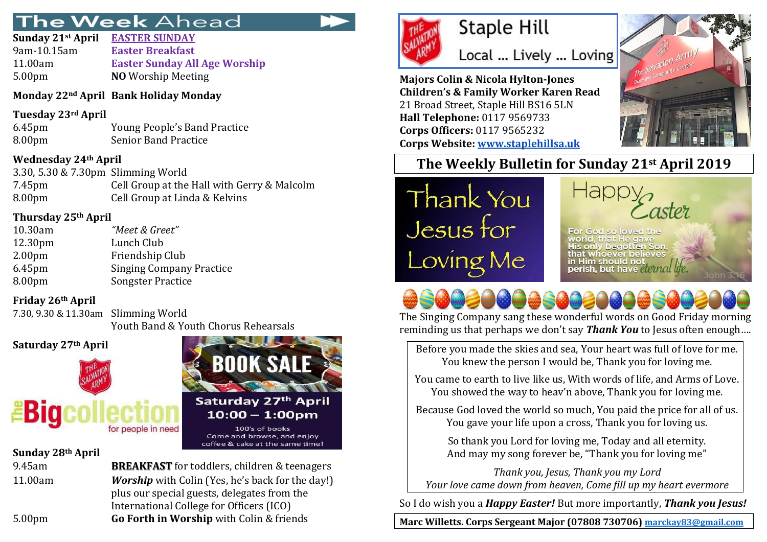# he Week Ahead

| Sunday 21st April  | <b>EASTER SUNDAY</b>                 |
|--------------------|--------------------------------------|
| 9am-10.15am        | <b>Easter Breakfast</b>              |
| 11.00am            | <b>Easter Sunday All Age Worship</b> |
| 5.00 <sub>pm</sub> | <b>NO</b> Worship Meeting            |
|                    |                                      |

## **Monday 22nd April Bank Holiday Monday**

## **Tuesday 23rd April**

6.45pm Young People's Band Practice 8.00pm Senior Band Practice

## **Wednesday 24th April**

3.30, 5.30 & 7.30pm Slimming World 7.45pm Cell Group at the Hall with Gerry & Malcolm 8.00pm Cell Group at Linda & Kelvins

## **Thursday 25th April**

| 10.30am            | "Meet & Greet"                  |
|--------------------|---------------------------------|
| 12.30pm            | Lunch Club                      |
| 2.00 <sub>pm</sub> | Friendship Club                 |
| 6.45pm             | <b>Singing Company Practice</b> |
| 8.00pm             | <b>Songster Practice</b>        |

## **Friday 26th April**

7.30, 9.30 & 11.30am Slimming World Youth Band & Youth Chorus Rehearsals

## **Saturday 27th April**



## **Sunday 28th April**

9.45am **BREAKFAST** for toddlers, children & teenagers 11.00am *Worship* with Colin (Yes, he's back for the day!) plus our special guests, delegates from the International College for Officers (ICO) 5.00pm **Go Forth in Worship** with Colin & friends

**BOOK SALE** 

Saturday 27th April

 $10:00 - 1:00$ pm

100's of books Come and browse, and enjoy coffee & cake at the same time!



# **Staple Hill**

Local ... Lively ... Loving

**Majors Colin & Nicola Hylton-Jones Children's & Family Worker Karen Read** 21 Broad Street, Staple Hill BS16 5LN **Hall Telephone:** 0117 9569733 **Corps Officers:** 0117 9565232 **Corps Website: [www.staplehillsa.uk](http://www.staplehillsa.uk/)**



## **The Weekly Bulletin for Sunday 21st April 2019**

Thank You Jesus for Loving Me



God so lowed the that He cave hoever believes in Him should not perish, but have elemal life

The Singing Company sang these wonderful words on Good Friday morning reminding us that perhaps we don't say *Thank You* to Jesus often enough….

Before you made the skies and sea, Your heart was full of love for me. You knew the person I would be, Thank you for loving me.

You came to earth to live like us, With words of life, and Arms of Love. You showed the way to heav'n above, Thank you for loving me.

Because God loved the world so much, You paid the price for all of us. You gave your life upon a cross, Thank you for loving us.

So thank you Lord for loving me, Today and all eternity. And may my song forever be, "Thank you for loving me"

*Thank you, Jesus, Thank you my Lord Your love came down from heaven, Come fill up my heart evermore*

So I do wish you a *Happy Easter!* But more importantly, *Thank you Jesus!*

**Marc Willetts. Corps Sergeant Major (07808 730706) [marckay83@gmail.com](mailto:marckay83@gmail.com)**